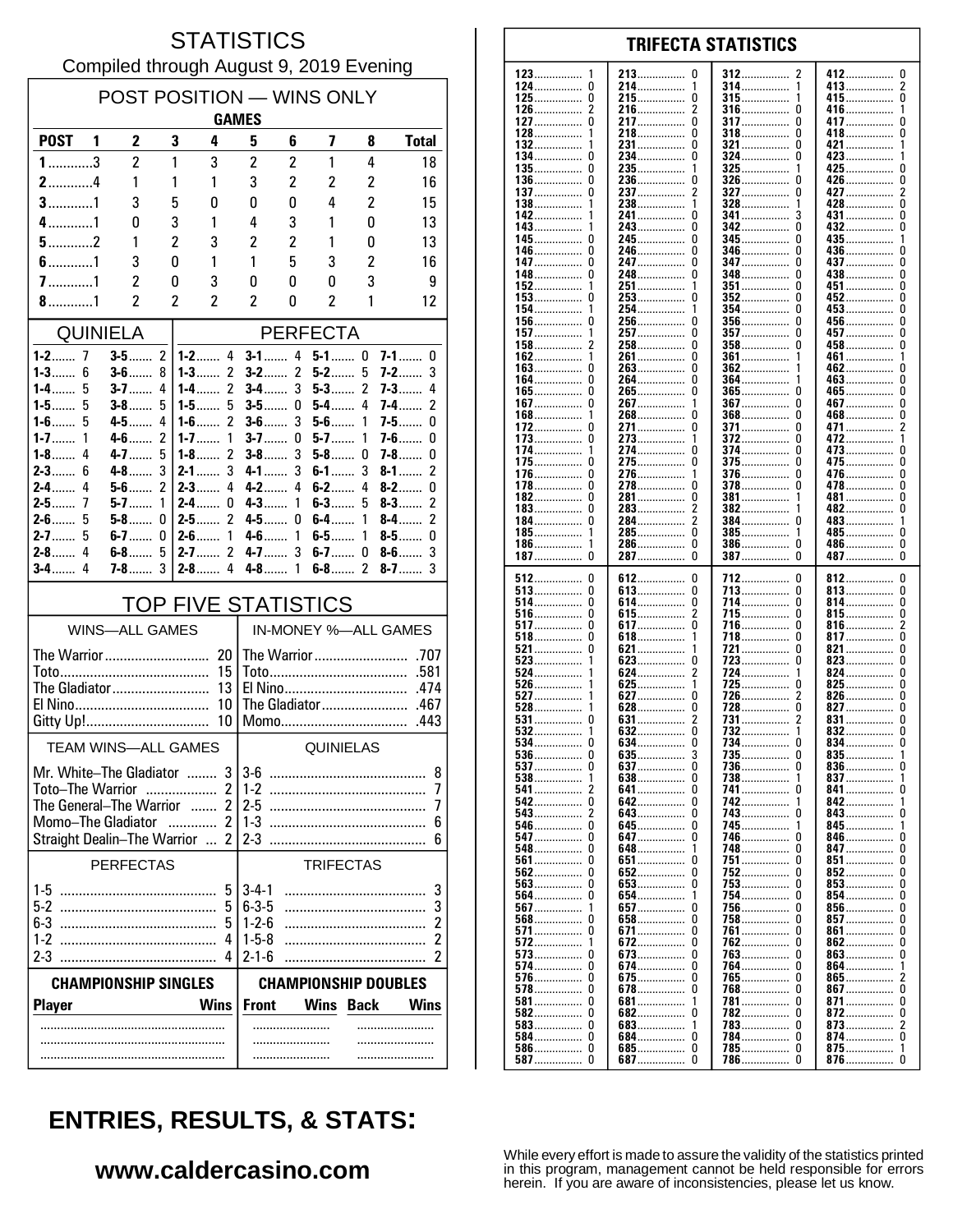#### **STATISTICS** Compiled through August 9, 2019 Evening

| POST POSITION - WINS ONLY<br><b>GAMES</b>                                                                   |                                    |                         |                                     |                          |                     |                         |                     |                                |
|-------------------------------------------------------------------------------------------------------------|------------------------------------|-------------------------|-------------------------------------|--------------------------|---------------------|-------------------------|---------------------|--------------------------------|
| <b>POST</b>                                                                                                 | 1<br>2                             | 3                       | 4                                   | 5                        | 6                   | 7                       | 8                   | <b>Total</b>                   |
| $1$ 3                                                                                                       | $\overline{c}$                     | 1                       | 3                                   | $\overline{c}$           | $\overline{2}$      | 1                       | 4                   | 18                             |
| $2$ 4                                                                                                       | 1                                  | 1                       | 1                                   | 3                        | $\overline{c}$      | $\overline{c}$          | 2                   | 16                             |
| $3$ 1                                                                                                       | 3                                  | 5                       | 0                                   | 0                        | $\mathbf{0}$        | 4                       | 2                   | 15                             |
| $4$ 1                                                                                                       | 0                                  | 3                       | 1                                   | 4                        | 3                   | 1                       | 0                   | 13                             |
| $5$ 2<br>$6$ 1                                                                                              | 1<br>3                             | $\overline{2}$<br>0     | 3<br>1                              | $\overline{c}$<br>1      | $\overline{c}$<br>5 | 1<br>3                  | 0<br>$\overline{c}$ | 13<br>16                       |
| $7$ 1                                                                                                       | $\overline{c}$                     | 0                       | 3                                   | 0                        | 0                   | 0                       | 3                   | 9                              |
| 8. 1                                                                                                        | $\overline{\mathbf{c}}$            | $\overline{\mathbf{c}}$ | 2                                   | 2                        | 0                   | $\overline{\mathbf{c}}$ | 1                   | 12                             |
| <b>QUINIELA</b><br><b>PERFECTA</b>                                                                          |                                    |                         |                                     |                          |                     |                         |                     |                                |
| 1-2……<br>7                                                                                                  | $3-5$                              | 2                       | $1 - 2$ 4                           | $3-1$                    | 4                   | $5-1$ 0                 |                     | $7 - 1$<br>0                   |
| 6<br>$1 - 3$                                                                                                | $3-6$                              | 8                       | $\overline{2}$<br>$1 - 3$           | $3-2$                    | $\overline{2}$      | $5-2$                   | 5                   | 3<br>$7-2$                     |
| 1-4……<br>5<br>1-5…….<br>5                                                                                   | $3 - 7$<br>$3-8$                   | 4<br>5                  | 2<br>1-4……<br>5<br>1-5…….           | $3-4$<br>$3-5$           | 3<br>0              | $5-3$<br>$5-4$          | 2<br>4              | $7 - 3$<br>4<br>2<br>7-4       |
| 5<br>$1-6$                                                                                                  | $4-5$                              | 4                       | 2<br>$1 - 6$                        | $3-6$                    | 3                   | $5-6$                   | 1                   | 0<br>7-5                       |
| $1 - 7$<br>1                                                                                                | $4-6$                              | $\overline{2}$          | $1 - 7$<br>1                        | $3-7$                    | 0                   | $5-7$                   | 1                   | 7-6<br>0                       |
| $1 - 8$<br>4<br>$2 - 3$<br>6                                                                                | $4 - 7$<br>4-8                     | 5<br>3                  | $\overline{2}$<br>$1-8$<br>3<br>2-1 | $3-8$<br>$4 - 1$         | 3<br>3              | $5-8$<br>$6-1$          | 0<br>3              | $7 - 8$<br>0<br>2<br>$8-1$     |
| 4<br>$2-4$                                                                                                  | $5-6$                              | 2                       | 4<br>$2 - 3$                        | $4-2$                    | 4                   | $6-2$                   | 4                   | $8-2$<br>0                     |
| $2-5$<br>7                                                                                                  | $5-7$                              | 1                       | $2-4$<br>0                          | $4 - 3$                  | 1                   | $6-3$                   | 5                   | 2<br>$8-3$                     |
| $2 - 6$<br>5<br>2-7……<br>5                                                                                  | $5-8$<br>6-7                       | 0<br>0                  | 2<br>$2-5$<br>2-6<br>1              | $4-5$<br>4-6             | 0<br>1              | $6-4$<br>$6-5$          | 1<br>1              | 2<br>$8-4$<br>8-5 $\dots$<br>0 |
| 4<br>$2-8$                                                                                                  | $6-8$                              | 5                       | $\overline{c}$<br>$2 - 7$           | $4-7$                    | 3                   | $6-7$                   | 0                   | 3<br>$8-6$                     |
| $3-4$<br>4                                                                                                  | $7-8$                              | 3                       | 4<br>$2 - 8$                        | $4-8$                    | 1                   | $6-8$                   | 2                   | $8-7$<br>3                     |
|                                                                                                             |                                    |                         | <b>TOP FIVE STATISTICS</b>          |                          |                     |                         |                     |                                |
| IN-MONEY %-ALL GAMES<br><b>WINS-ALL GAMES</b>                                                               |                                    |                         |                                     |                          |                     |                         |                     |                                |
| The Warrior<br>20                                                                                           |                                    |                         |                                     |                          |                     |                         |                     |                                |
|                                                                                                             |                                    |                         | 15<br>13                            | .474                     |                     |                         |                     |                                |
| The Gladiator<br>10                                                                                         |                                    |                         |                                     | The Gladiator<br>.467    |                     |                         |                     |                                |
| Gitty Up!<br>10<br>Momo<br>.443                                                                             |                                    |                         |                                     |                          |                     |                         |                     |                                |
| <b>TEAM WINS-ALL GAMES</b>                                                                                  |                                    |                         |                                     | QUINIELAS                |                     |                         |                     |                                |
| $\mathbf{3}$<br>36<br>Mr White–The Gladiator                                                                |                                    |                         |                                     |                          | 8                   |                         |                     |                                |
| $\overline{2}$<br>Toto-The Warrior<br>The General-The Warrior<br>$\overline{2}$<br>$\overline{\phantom{a}}$ |                                    |                         |                                     | $1-2$<br>7<br>$2-5$<br>7 |                     |                         |                     |                                |
| $\overline{2}$<br>Momo-The Gladiator<br>.                                                                   |                                    |                         |                                     | $1 - 3$<br>6             |                     |                         |                     |                                |
|                                                                                                             | <b>Straight Dealin-The Warrior</b> |                         | 2<br>$\sim$                         | $2-3$                    |                     |                         |                     | 6                              |
| <b>PERFECTAS</b>                                                                                            |                                    |                         |                                     | <b>TRIFECTAS</b>         |                     |                         |                     |                                |
|                                                                                                             |                                    |                         | 5                                   | $3-4-1$                  |                     |                         |                     | 3                              |
| 6-3                                                                                                         |                                    |                         | 5<br>5                              | $6-3-5$<br>$1 - 2 - 6$   |                     |                         |                     | 3<br>2                         |
| 1-2                                                                                                         |                                    |                         | 4                                   | $1 - 5 - 8$              |                     |                         |                     | 2                              |
| $2-3$                                                                                                       |                                    |                         |                                     | $2 - 1 - 6$              |                     |                         |                     | 2                              |
| <b>CHAMPIONSHIP DOUBLES</b><br><b>CHAMPIONSHIP SINGLES</b>                                                  |                                    |                         |                                     |                          |                     |                         |                     |                                |
| <b>Player</b>                                                                                               |                                    |                         | <b>Wins</b>                         | <b>Front</b>             |                     | Wins                    | <b>Back</b>         | <b>Wins</b>                    |
|                                                                                                             |                                    |                         |                                     |                          |                     |                         |                     |                                |
|                                                                                                             |                                    |                         |                                     |                          |                     |                         |                     |                                |

| 123           | 213                         | 312                     | 412……………                |
|---------------|-----------------------------|-------------------------|-------------------------|
| -1            | 0                           | 2                       | U                       |
| 124……………<br>0 | 214……………                    | 314……………                | 413<br>2                |
| 125           | 215……………                    | $315$                   | 415                     |
| 0             |                             | 1                       | 0                       |
| 126           | 216……………                    | 316<br>U                | 416<br>1                |
|               |                             |                         |                         |
| 127……………      | 217……………                    | <b>317</b>              | 417                     |
|               | 0                           | 0                       | 0                       |
| 128……………      | 218……………                    | <b>318</b>              | 418……………                |
| 1             | 0                           | 0                       | 0                       |
| 132           | 231                         | 321<br>0                | 421<br>1                |
| 134……………      | 234……………                    | $324$                   | 423……………                |
| 0             |                             | 0                       | 1                       |
| 135……………      | 235……………                    | <b>325</b>              | 425                     |
| 0             | 1                           | 1                       | 0                       |
| 0             | 0                           |                         |                         |
| 136……………      | 236……………                    | 326……………<br>U           | 426……………<br>0           |
| 137           | 237……………                    | 327                     | 427                     |
| 0             |                             | 0                       | 2                       |
| 138……………      | 238……………                    | 328……………                | 428……………                |
|               | 1                           | 1                       | 0                       |
| 142           | 241……………                    | 341                     | 431                     |
|               | 0                           | 3                       | 0                       |
| 143……………      | 243……………                    | 342                     | 432……………                |
| 1             | 0                           | 0                       | 0                       |
|               |                             |                         |                         |
| 145……………<br>0 | 245……………                    | <b>345</b><br>U         | 435                     |
| 146……………      | 246……………                    | 346                     | 436……………                |
| 0             |                             | 0                       | U                       |
| 147……………      | 247……………                    | 347                     | 437                     |
| 0             |                             | 0                       | 0                       |
| 148……………      | 248……………                    | 348                     | 438……………                |
| 0             |                             | 0                       | 0                       |
| 152           | 251                         | <b>351</b><br>U         | 451<br>U                |
|               |                             |                         |                         |
| 153           | 253                         | <b>352</b>              | 452                     |
| 0             | 0                           | 0                       | U                       |
| 154           | 254                         | 354                     | 453                     |
|               | 1                           | 0                       | 0                       |
| 156……………      | 256……………                    | $356$                   | 456……………                |
|               | 0                           | 0                       | U                       |
| <u> 157</u>   | 257                         | 357<br>0                | 457<br>U                |
| 2             | 258                         | $358$                   | 458                     |
| 158……………      | 0                           | 0                       | 0                       |
|               |                             |                         |                         |
| 162           | 261                         | 361                     | 461<br>1                |
| 163           | 263……………                    | 362                     | 462……………                |
| 0             | 0                           | 1                       | U                       |
| 164<br>0      | 264……………                    | 364                     | 463<br>U                |
| 165……………      | 265                         | $365$                   | 465                     |
| 0             | 0                           | 0                       | U                       |
| 167           | 267                         | 367                     | 467……………                |
| 0             | 1                           | 0                       | 0                       |
|               |                             |                         |                         |
| $168$         | 268……………                    | $368$                   | 468……………                |
| 1             | 0                           | U                       | U                       |
| 172           | 271                         | 371                     | 471                     |
| 0             | 0                           | 0                       | 2                       |
| 173           | 273                         | 372                     | 472                     |
| 0             | 1                           | 0                       | 1                       |
| 174           | 274……………                    | 374                     | 473                     |
| 1             | 0                           | 0                       | 0                       |
| 175……………      | 275                         | <b>375</b>              | 475                     |
| 0             | 0                           | U                       | 0                       |
| 176……………      | 276……………                    | 376……………                | 476……………                |
| 0             | 1                           | 0                       | U                       |
|               |                             |                         |                         |
| 178……………      | 278……………                    | 378                     | 478……………                |
| 0             | 0                           | 0                       | 0                       |
| 182           | 281……………                    | 381                     | 481……………                |
| 0             | 0                           | 1                       | 0                       |
| 183……………      | 283                         | 382                     | 482……………                |
| 0             |                             | 1                       | 0                       |
| 184……………      | 284……………                    | 384……………                | 483……………                |
| 0             |                             | 0                       | 1                       |
| 185……………      | 285……………                    | <b>385</b>              | 485……………                |
| 1             | 0                           | 1                       | 0                       |
| 1             | 0                           | 0                       |                         |
| 186……………      | 286……………                    | 386……………                | 486……………<br>0           |
|               | 287……………                    | 387<br>0                | 487<br>0                |
| 187<br>0      |                             |                         |                         |
|               |                             |                         |                         |
| 512           | 0                           | 712                     | 812                     |
| 0             | <b>612</b>                  | 0                       | 0                       |
| <b>513</b>    | 613                         | 713                     | 813                     |
| 0             | 0                           | 0                       | 0                       |
| 0             | 0                           | 0                       | 0                       |
| 514           | 614                         | 714                     | 814                     |
| $516$         | 615                         | 715                     | 815                     |
| 0             | 2                           | 0                       | U                       |
| 517           | <b>617</b>                  | 716……………                | 816                     |
| 0             | 0                           | 0                       | 2                       |
| <b>518</b>    | 618                         | 718                     | 817                     |
| 0             | 1                           | 0                       | 0                       |
| 521           | 621                         | 721                     | 821                     |
| 0             |                             | 0                       | 0                       |
| $523$         | $623$                       | 723                     | 823                     |
|               | 0                           | 0                       | 0                       |
|               |                             |                         |                         |
| 524           | 2                           | 724                     | 824                     |
|               | 624                         | 1                       | 0                       |
| $526$         | $625$                       | 725                     | 825                     |
| 1             | 1                           | 0                       | 0                       |
| 527           | <b>627</b>                  | 726……………<br>2           | 826<br>U                |
| $528$         | $628$                       | 728                     | 827                     |
|               | 0                           | 0                       | 0                       |
| $531$         | 631                         | 731                     | 831                     |
| 0             |                             | 2                       | 0                       |
| 532           | $632$<br>0                  | <u>732</u>              | 832<br>0                |
| 0             | 0                           | 734……………<br>0           | 0                       |
| 534<br>0      | 634<br>3                    | 0                       | 834                     |
| $536$         | 635                         | 735                     | $835$                   |
|               | <b>637</b><br>U             | <b>736</b> 0            | 836<br>U                |
| $538 \ldots$  | $638 \ldots$                | 738……………                | 837                     |
| 1             | 0                           | 1                       | 1                       |
| 541           | 641                         | 741                     | 841……………                |
| 542           | 642                         | 742                     | 842                     |
| 0             |                             | 1                       | 1                       |
|               | 643<br>0                    | U                       | 843<br>U                |
|               | 0                           | 743                     |                         |
|               | 645……………                    | 745<br>1                | 845……………<br>1           |
| 547 0         | 647                         | 746<br>U                | 846<br>U                |
|               | 648                         | 748                     | 847……………                |
|               | 1                           | 0                       | U                       |
|               | 651                         | <b>751 </b>             | 851……………                |
|               | 0                           | U                       | U                       |
|               | 652                         | 752                     | 852                     |
|               | 0                           | U                       | U                       |
| $563$         | $653$                       | $753$                   | $853$                   |
| 0             | 0                           | 0                       | U                       |
| 564           | 1                           | 754                     | 854                     |
| 0             | 654                         | U                       | U                       |
|               | 0                           | 0                       |                         |
| 567           | 657                         | <b>756</b>              | 856<br>U                |
|               | 658                         | 758                     | 857                     |
|               | 0                           | U                       | U                       |
| 571 0         | <b>671</b>                  | 761                     | 861                     |
|               | 0                           | U                       | U                       |
| 572           | <b>672</b>                  | 762                     | 862                     |
| 1             | 0                           | U                       | U                       |
|               | 673                         | 763                     | $863$                   |
|               | 0                           | 0                       | U                       |
| <b>574</b> 0  | 674                         | 764                     | 864……………                |
|               | 0                           | U                       | 1                       |
|               |                             |                         |                         |
| <b>576</b> 0  | 675                         | 765                     | 865                     |
|               | 0                           | 0                       | 2                       |
| <b>578</b> 0  | <b>678</b>                  | 768                     | 867                     |
|               | 0                           | 0                       | 0                       |
|               | 681                         | 781                     | 871                     |
|               | 1                           | U                       | U                       |
|               | 682                         | 782<br>U                | 872<br>U                |
|               | $683 \ldots$                | 783                     | 873                     |
|               | 1                           | 0                       | 2                       |
|               | 0                           | 0                       | 0                       |
| 584 0         | 684                         | 784……………                | 874                     |
|               | 685<br>0<br><b>687</b><br>0 | 785<br>0<br>786……………… 0 | 875<br>1<br>876……………… 0 |

**TRIFECTA STATISTICS** 

# **ENTRIES, RESULTS, & STATS:**

### www.caldercasino.com